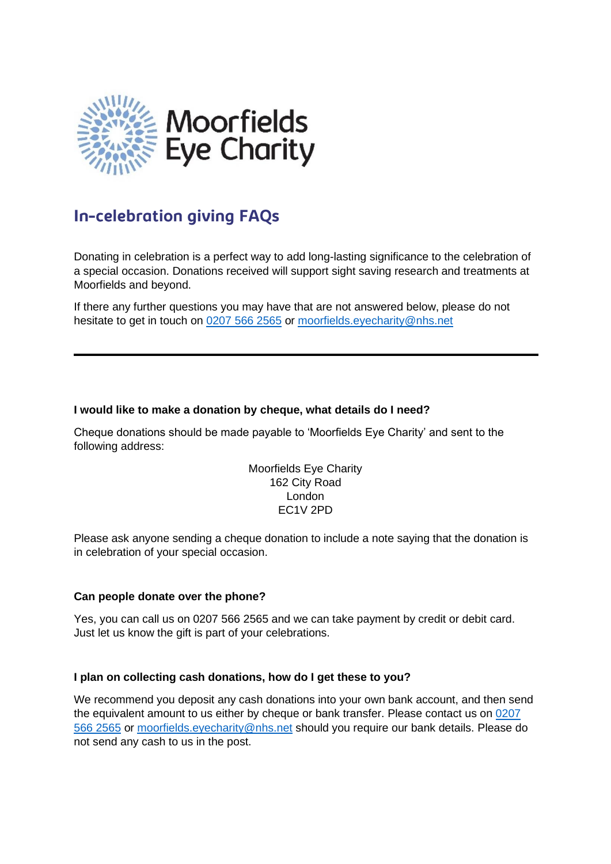

# **In-celebration giving FAQs**

Donating in celebration is a perfect way to add long-lasting significance to the celebration of a special occasion. Donations received will support sight saving research and treatments at Moorfields and beyond.

If there any further questions you may have that are not answered below, please do not hesitate to get in touch on [0207 566 2565](tel:02075662565) or [moorfields.eyecharity@nhs.net](mailto:moorfields.eyecharity@nhs.net)

## **I would like to make a donation by cheque, what details do I need?**

Cheque donations should be made payable to 'Moorfields Eye Charity' and sent to the following address:

> Moorfields Eye Charity 162 City Road London EC1V 2PD

Please ask anyone sending a cheque donation to include a note saying that the donation is in celebration of your special occasion.

## **Can people donate over the phone?**

Yes, you can call us on 0207 566 2565 and we can take payment by credit or debit card. Just let us know the gift is part of your celebrations.

## **I plan on collecting cash donations, how do I get these to you?**

We recommend you deposit any cash donations into your own bank account, and then send the equivalent amount to us either by cheque or bank transfer. Please contact us on [0207](tel:02075662565)  [566 2565](tel:02075662565) or [moorfields.eyecharity@nhs.net](mailto:moorfields.eyecharity@nhs.net) should you require our bank details. Please do not send any cash to us in the post.